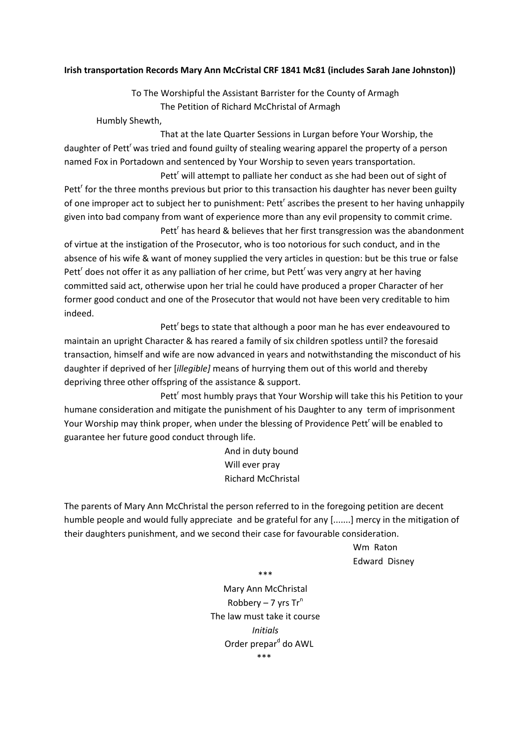## **Irish transportation Records Mary Ann McCristal CRF 1841 Mc81 (includes Sarah Jane Johnston))**

To The Worshipful the Assistant Barrister for the County of Armagh The Petition of Richard McChristal of Armagh

Humbly Shewth,

 That at the late Quarter Sessions in Lurgan before Your Worship, the daughter of Pett<sup>r</sup> was tried and found guilty of stealing wearing apparel the property of a person named Fox in Portadown and sentenced by Your Worship to seven years transportation.

Pett<sup>r</sup> will attempt to palliate her conduct as she had been out of sight of Pett<sup>r</sup> for the three months previous but prior to this transaction his daughter has never been guilty of one improper act to subject her to punishment: Pett<sup>r</sup> ascribes the present to her having unhappily given into bad company from want of experience more than any evil propensity to commit crime.

Pett<sup>r</sup> has heard & believes that her first transgression was the abandonment of virtue at the instigation of the Prosecutor, who is too notorious for such conduct, and in the absence of his wife & want of money supplied the very articles in question: but be this true or false Pett<sup>r</sup> does not offer it as any palliation of her crime, but Pett<sup>r</sup> was very angry at her having committed said act, otherwise upon her trial he could have produced a proper Character of her former good conduct and one of the Prosecutor that would not have been very creditable to him indeed.

Pett<sup>'</sup> begs to state that although a poor man he has ever endeavoured to maintain an upright Character & has reared a family of six children spotless until? the foresaid transaction, himself and wife are now advanced in years and notwithstanding the misconduct of his daughter if deprived of her [*illegible]* means of hurrying them out of this world and thereby depriving three other offspring of the assistance & support.

Pett<sup>r</sup> most humbly prays that Your Worship will take this his Petition to your humane consideration and mitigate the punishment of his Daughter to any term of imprisonment Your Worship may think proper, when under the blessing of Providence Pett<sup>r</sup> will be enabled to guarantee her future good conduct through life.

> And in duty bound Will ever pray Richard McChristal

The parents of Mary Ann McChristal the person referred to in the foregoing petition are decent humble people and would fully appreciate and be grateful for any [.......] mercy in the mitigation of their daughters punishment, and we second their case for favourable consideration.

> Wm Raton Edward Disney

\*\*\*

Mary Ann McChristal Robbery – 7 yrs  $Tr^n$ The law must take it course *Initials* Order prepar<sup>d</sup> do AWL \*\*\*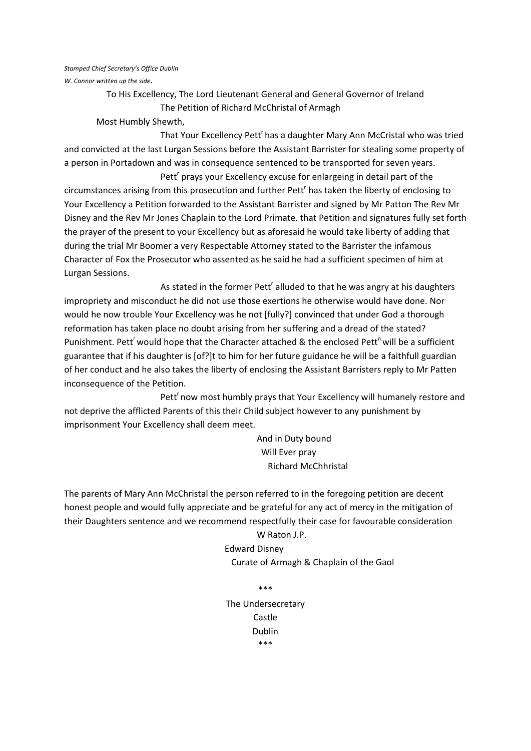#### *Stamped Chief Secretary's Office Dublin*

*W. Connor written up the side.*

To His Excellency, The Lord Lieutenant General and General Governor of Ireland The Petition of Richard McChristal of Armagh

Most Humbly Shewth,

That Your Excellency Pett<sup>r</sup> has a daughter Mary Ann McCristal who was tried and convicted at the last Lurgan Sessions before the Assistant Barrister for stealing some property of a person in Portadown and was in consequence sentenced to be transported for seven years.

Pett<sup>r</sup> prays your Excellency excuse for enlargeing in detail part of the circumstances arising from this prosecution and further Pett<sup>r</sup> has taken the liberty of enclosing to Your Excellency a Petition forwarded to the Assistant Barrister and signed by Mr Patton The Rev Mr Disney and the Rev Mr Jones Chaplain to the Lord Primate. that Petition and signatures fully set forth the prayer of the present to your Excellency but as aforesaid he would take liberty of adding that during the trial Mr Boomer a very Respectable Attorney stated to the Barrister the infamous Character of Fox the Prosecutor who assented as he said he had a sufficient specimen of him at Lurgan Sessions.

As stated in the former Pett<sup>r</sup> alluded to that he was angry at his daughters impropriety and misconduct he did not use those exertions he otherwise would have done. Nor would he now trouble Your Excellency was he not [fully?] convinced that under God a thorough reformation has taken place no doubt arising from her suffering and a dread of the stated? Punishment. Pett<sup>r</sup> would hope that the Character attached & the enclosed Pett<sup>n</sup> will be a sufficient guarantee that if his daughter is [of?]t to him for her future guidance he will be a faithfull guardian of her conduct and he also takes the liberty of enclosing the Assistant Barristers reply to Mr Patten inconsequence of the Petition.

Pett<sup>r</sup> now most humbly prays that Your Excellency will humanely restore and not deprive the afflicted Parents of this their Child subject however to any punishment by imprisonment Your Excellency shall deem meet.

> And in Duty bound Will Ever pray Richard McChhristal

The parents of Mary Ann McChristal the person referred to in the foregoing petition are decent honest people and would fully appreciate and be grateful for any act of mercy in the mitigation of their Daughters sentence and we recommend respectfully their case for favourable consideration

> W Raton J.P. Edward Disney Curate of Armagh & Chaplain of the Gaol

> > \*\*\*

The Undersecretary Castle Dublin \*\*\*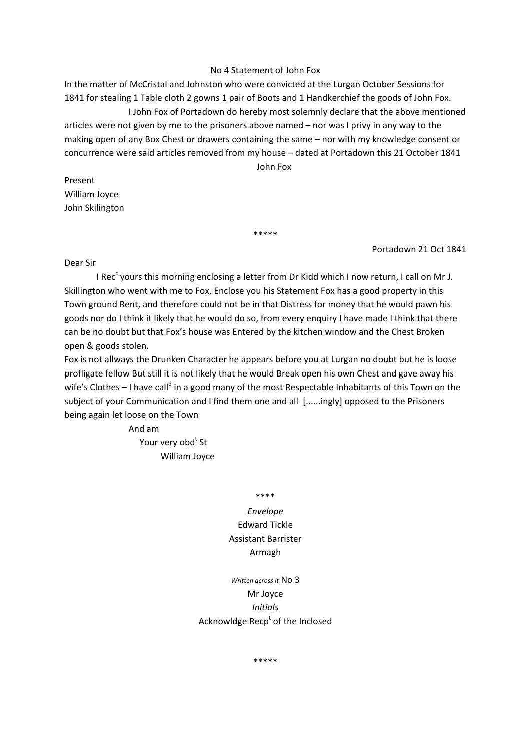### No 4 Statement of John Fox

In the matter of McCristal and Johnston who were convicted at the Lurgan October Sessions for 1841 for stealing 1 Table cloth 2 gowns 1 pair of Boots and 1 Handkerchief the goods of John Fox. I John Fox of Portadown do hereby most solemnly declare that the above mentioned articles were not given by me to the prisoners above named – nor was I privy in any way to the making open of any Box Chest or drawers containing the same – nor with my knowledge consent or concurrence were said articles removed from my house – dated at Portadown this 21 October 1841 John Fox

Present William Joyce John Skilington

## Portadown 21 Oct 1841

#### Dear Sir

I Rec<sup>d</sup> yours this morning enclosing a letter from Dr Kidd which I now return, I call on Mr J. Skillington who went with me to Fox, Enclose you his Statement Fox has a good property in this Town ground Rent, and therefore could not be in that Distress for money that he would pawn his goods nor do I think it likely that he would do so, from every enquiry I have made I think that there can be no doubt but that Fox's house was Entered by the kitchen window and the Chest Broken open & goods stolen.

\*\*\*\*\*

Fox is not allways the Drunken Character he appears before you at Lurgan no doubt but he is loose profligate fellow But still it is not likely that he would Break open his own Chest and gave away his wife's Clothes – I have call<sup>d</sup> in a good many of the most Respectable Inhabitants of this Town on the subject of your Communication and I find them one and all [......ingly] opposed to the Prisoners being again let loose on the Town

 And am Your very obd<sup>t</sup> St William Joyce

\*\*\*\*

# *Envelope* Edward Tickle Assistant Barrister Armagh

## *Written across it* No 3 Mr Joyce *Initials* Acknowldge Recp<sup>t</sup> of the Inclosed

\*\*\*\*\*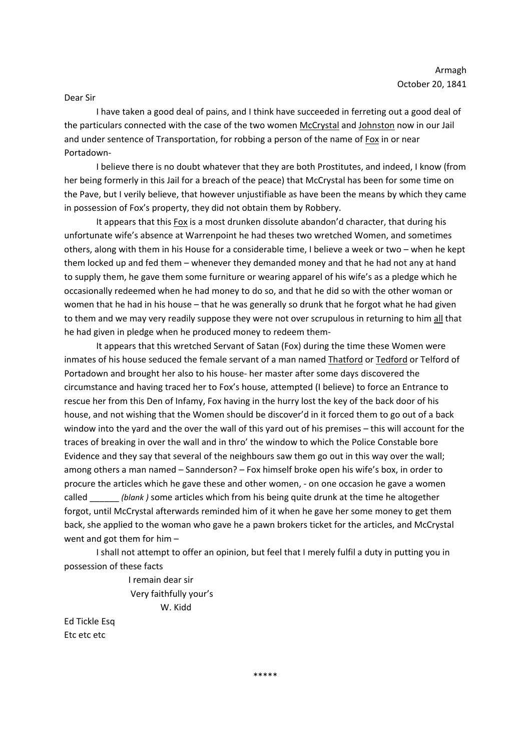### Dear Sir

I have taken a good deal of pains, and I think have succeeded in ferreting out a good deal of the particulars connected with the case of the two women McCrystal and Johnston now in our Jail and under sentence of Transportation, for robbing a person of the name of Fox in or near Portadown‐

I believe there is no doubt whatever that they are both Prostitutes, and indeed, I know (from her being formerly in this Jail for a breach of the peace) that McCrystal has been for some time on the Pave, but I verily believe, that however unjustifiable as have been the means by which they came in possession of Fox's property, they did not obtain them by Robbery.

It appears that this Fox is a most drunken dissolute abandon'd character, that during his unfortunate wife's absence at Warrenpoint he had theses two wretched Women, and sometimes others, along with them in his House for a considerable time, I believe a week or two – when he kept them locked up and fed them – whenever they demanded money and that he had not any at hand to supply them, he gave them some furniture or wearing apparel of his wife's as a pledge which he occasionally redeemed when he had money to do so, and that he did so with the other woman or women that he had in his house – that he was generally so drunk that he forgot what he had given to them and we may very readily suppose they were not over scrupulous in returning to him all that he had given in pledge when he produced money to redeem them‐

It appears that this wretched Servant of Satan (Fox) during the time these Women were inmates of his house seduced the female servant of a man named Thatford or Tedford or Telford of Portadown and brought her also to his house‐ her master after some days discovered the circumstance and having traced her to Fox's house, attempted (I believe) to force an Entrance to rescue her from this Den of Infamy, Fox having in the hurry lost the key of the back door of his house, and not wishing that the Women should be discover'd in it forced them to go out of a back window into the yard and the over the wall of this yard out of his premises – this will account for the traces of breaking in over the wall and in thro' the window to which the Police Constable bore Evidence and they say that several of the neighbours saw them go out in this way over the wall; among others a man named – Sannderson? – Fox himself broke open his wife's box, in order to procure the articles which he gave these and other women, ‐ on one occasion he gave a women called \_\_\_\_\_\_ *(blank )* some articles which from his being quite drunk at the time he altogether forgot, until McCrystal afterwards reminded him of it when he gave her some money to get them back, she applied to the woman who gave he a pawn brokers ticket for the articles, and McCrystal went and got them for him –

I shall not attempt to offer an opinion, but feel that I merely fulfil a duty in putting you in possession of these facts

> I remain dear sir Very faithfully your's W. Kidd

Ed Tickle Esq Etc etc etc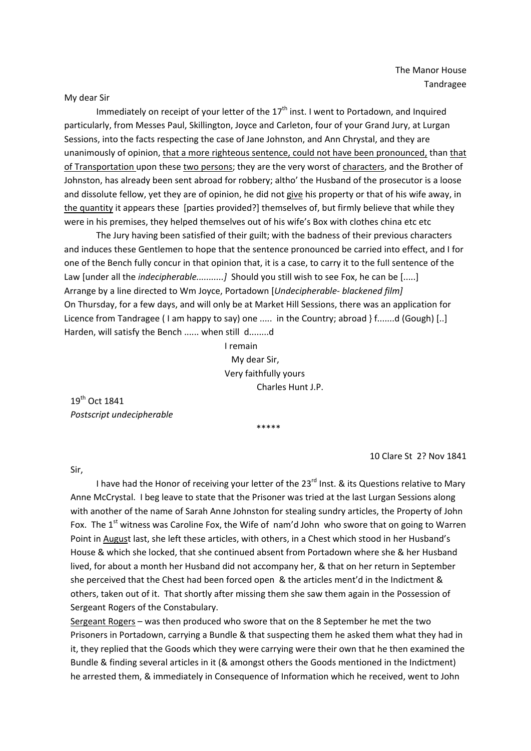My dear Sir

Immediately on receipt of your letter of the  $17<sup>th</sup>$  inst. I went to Portadown, and Inquired particularly, from Messes Paul, Skillington, Joyce and Carleton, four of your Grand Jury, at Lurgan Sessions, into the facts respecting the case of Jane Johnston, and Ann Chrystal, and they are unanimously of opinion, that a more righteous sentence, could not have been pronounced, than that of Transportation upon these two persons; they are the very worst of characters, and the Brother of Johnston, has already been sent abroad for robbery; altho' the Husband of the prosecutor is a loose and dissolute fellow, yet they are of opinion, he did not give his property or that of his wife away, in the quantity it appears these [parties provided?] themselves of, but firmly believe that while they were in his premises, they helped themselves out of his wife's Box with clothes china etc etc

The Jury having been satisfied of their guilt; with the badness of their previous characters and induces these Gentlemen to hope that the sentence pronounced be carried into effect, and I for one of the Bench fully concur in that opinion that, it is a case, to carry it to the full sentence of the Law [under all the *indecipherable...........*] Should you still wish to see Fox, he can be [.....] Arrange by a line directed to Wm Joyce, Portadown [*Undecipherable‐ blackened film]* On Thursday, for a few days, and will only be at Market Hill Sessions, there was an application for Licence from Tandragee ( I am happy to say) one ..... in the Country; abroad } f.......d (Gough) [..] Harden, will satisfy the Bench ...... when still d........d

> I remain My dear Sir, Very faithfully yours Charles Hunt J.P.

19th Oct 1841 *Postscript undecipherable*

\*\*\*\*\*

10 Clare St 2? Nov 1841

Sir,

I have had the Honor of receiving your letter of the 23<sup>rd</sup> Inst. & its Questions relative to Mary Anne McCrystal. I beg leave to state that the Prisoner was tried at the last Lurgan Sessions along with another of the name of Sarah Anne Johnston for stealing sundry articles, the Property of John Fox. The  $1^{\text{st}}$  witness was Caroline Fox, the Wife of nam'd John who swore that on going to Warren Point in August last, she left these articles, with others, in a Chest which stood in her Husband's House & which she locked, that she continued absent from Portadown where she & her Husband lived, for about a month her Husband did not accompany her, & that on her return in September she perceived that the Chest had been forced open & the articles ment'd in the Indictment & others, taken out of it. That shortly after missing them she saw them again in the Possession of Sergeant Rogers of the Constabulary.

Sergeant Rogers – was then produced who swore that on the 8 September he met the two Prisoners in Portadown, carrying a Bundle & that suspecting them he asked them what they had in it, they replied that the Goods which they were carrying were their own that he then examined the Bundle & finding several articles in it (& amongst others the Goods mentioned in the Indictment) he arrested them, & immediately in Consequence of Information which he received, went to John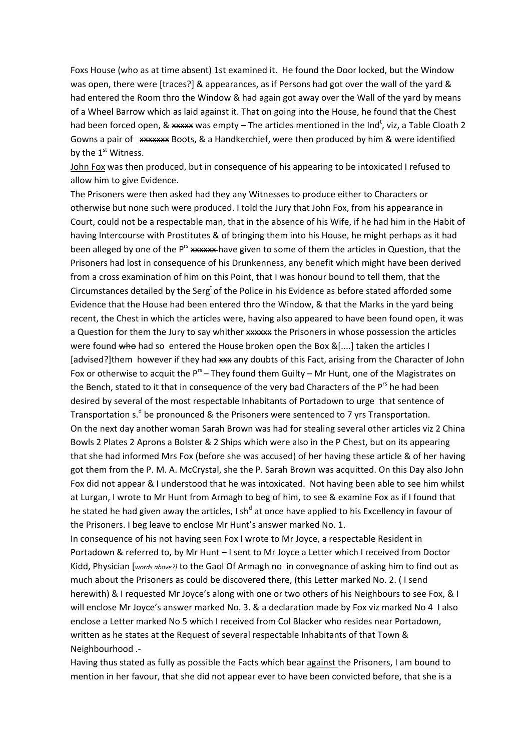Foxs House (who as at time absent) 1st examined it. He found the Door locked, but the Window was open, there were [traces?] & appearances, as if Persons had got over the wall of the yard & had entered the Room thro the Window & had again got away over the Wall of the yard by means of a Wheel Barrow which as laid against it. That on going into the House, he found that the Chest had been forced open, & \*\*\*\*\* was empty – The articles mentioned in the Ind<sup>t</sup>, viz, a Table Cloath 2 Gowns a pair of \*\*\*\*\*\*\*\* Boots, & a Handkerchief, were then produced by him & were identified by the  $1<sup>st</sup>$  Witness.

John Fox was then produced, but in consequence of his appearing to be intoxicated I refused to allow him to give Evidence.

The Prisoners were then asked had they any Witnesses to produce either to Characters or otherwise but none such were produced. I told the Jury that John Fox, from his appearance in Court, could not be a respectable man, that in the absence of his Wife, if he had him in the Habit of having Intercourse with Prostitutes & of bringing them into his House, he might perhaps as it had been alleged by one of the Prs xxxxxx have given to some of them the articles in Question, that the Prisoners had lost in consequence of his Drunkenness, any benefit which might have been derived from a cross examination of him on this Point, that I was honour bound to tell them, that the Circumstances detailed by the Serg<sup>t</sup> of the Police in his Evidence as before stated afforded some Evidence that the House had been entered thro the Window, & that the Marks in the yard being recent, the Chest in which the articles were, having also appeared to have been found open, it was a Question for them the Jury to say whither xxxxx the Prisoners in whose possession the articles were found who had so entered the House broken open the Box &[....] taken the articles I [advised?]them however if they had xxx any doubts of this Fact, arising from the Character of John Fox or otherwise to acquit the  $P^{rs}$  – They found them Guilty – Mr Hunt, one of the Magistrates on the Bench, stated to it that in consequence of the very bad Characters of the  $P^{rs}$  he had been desired by several of the most respectable Inhabitants of Portadown to urge that sentence of Transportation  $s^d$  be pronounced & the Prisoners were sentenced to 7 yrs Transportation. On the next day another woman Sarah Brown was had for stealing several other articles viz 2 China Bowls 2 Plates 2 Aprons a Bolster & 2 Ships which were also in the P Chest, but on its appearing that she had informed Mrs Fox (before she was accused) of her having these article & of her having got them from the P. M. A. McCrystal, she the P. Sarah Brown was acquitted. On this Day also John Fox did not appear & I understood that he was intoxicated. Not having been able to see him whilst at Lurgan, I wrote to Mr Hunt from Armagh to beg of him, to see & examine Fox as if I found that he stated he had given away the articles, I sh<sup>d</sup> at once have applied to his Excellency in favour of the Prisoners. I beg leave to enclose Mr Hunt's answer marked No. 1.

In consequence of his not having seen Fox I wrote to Mr Joyce, a respectable Resident in Portadown & referred to, by Mr Hunt – I sent to Mr Joyce a Letter which I received from Doctor Kidd, Physician [*words above?]* to the Gaol Of Armagh no in convegnance of asking him to find out as much about the Prisoners as could be discovered there, (this Letter marked No. 2. ( I send herewith) & I requested Mr Joyce's along with one or two others of his Neighbours to see Fox, & I will enclose Mr Joyce's answer marked No. 3. & a declaration made by Fox viz marked No 4 I also enclose a Letter marked No 5 which I received from Col Blacker who resides near Portadown, written as he states at the Request of several respectable Inhabitants of that Town & Neighbourhood .‐

Having thus stated as fully as possible the Facts which bear against the Prisoners, I am bound to mention in her favour, that she did not appear ever to have been convicted before, that she is a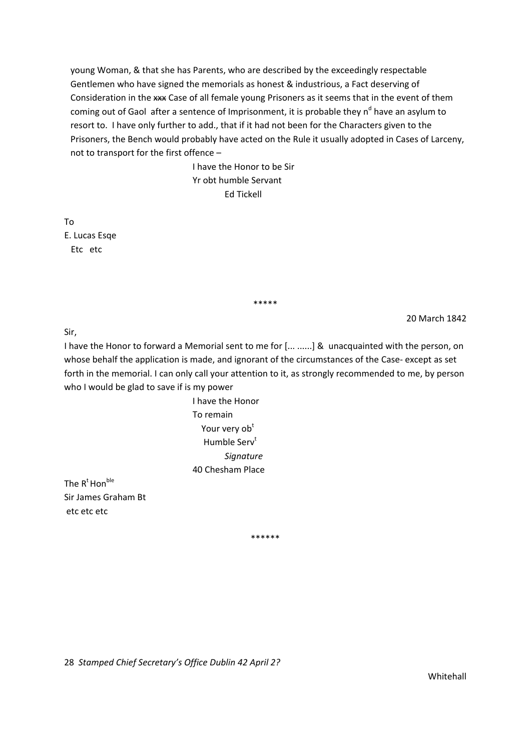young Woman, & that she has Parents, who are described by the exceedingly respectable Gentlemen who have signed the memorials as honest & industrious, a Fact deserving of Consideration in the xxx Case of all female young Prisoners as it seems that in the event of them coming out of Gaol after a sentence of Imprisonment, it is probable they  $n<sup>d</sup>$  have an asylum to resort to. I have only further to add., that if it had not been for the Characters given to the Prisoners, the Bench would probably have acted on the Rule it usually adopted in Cases of Larceny, not to transport for the first offence –

> I have the Honor to be Sir Yr obt humble Servant Ed Tickell

To E. Lucas Esqe Etc etc

\*\*\*\*\*

20 March 1842

Sir,

I have the Honor to forward a Memorial sent to me for [... ......] & unacquainted with the person, on whose behalf the application is made, and ignorant of the circumstances of the Case-except as set forth in the memorial. I can only call your attention to it, as strongly recommended to me, by person who I would be glad to save if is my power

> I have the Honor To remain Your very ob<sup>t</sup> Humble Serv<sup>t</sup> *Signature* 40 Chesham Place

The  $R^t$  Hon<sup>ble</sup> Sir James Graham Bt etc etc etc

\*\*\*\*\*\*

28 *Stamped Chief Secretary's Office Dublin 42 April 2?*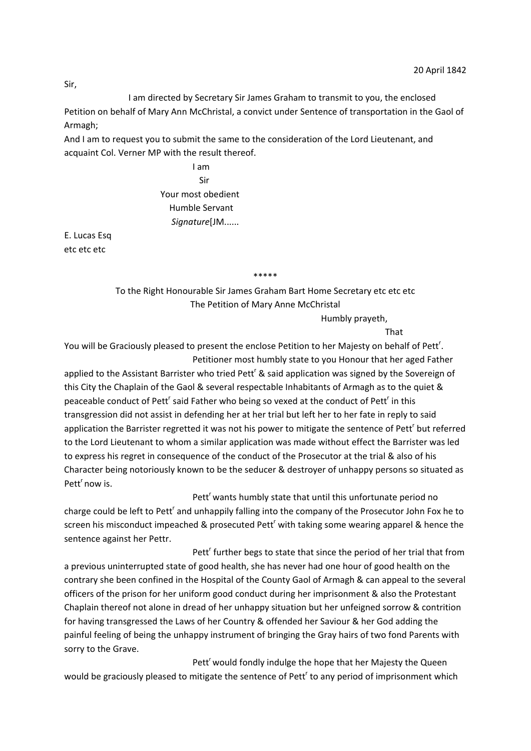I am directed by Secretary Sir James Graham to transmit to you, the enclosed Petition on behalf of Mary Ann McChristal, a convict under Sentence of transportation in the Gaol of Armagh;

And I am to request you to submit the same to the consideration of the Lord Lieutenant, and acquaint Col. Verner MP with the result thereof.

 I am Sir Your most obedient Humble Servant *Signature*[JM......

E. Lucas Esq etc etc etc

\*\*\*\*\*

To the Right Honourable Sir James Graham Bart Home Secretary etc etc etc The Petition of Mary Anne McChristal

Humbly prayeth,

That

You will be Graciously pleased to present the enclose Petition to her Majesty on behalf of Pett<sup>r</sup>. Petitioner most humbly state to you Honour that her aged Father

applied to the Assistant Barrister who tried Pett<sup>r</sup> & said application was signed by the Sovereign of this City the Chaplain of the Gaol & several respectable Inhabitants of Armagh as to the quiet & peaceable conduct of Pett<sup>r</sup> said Father who being so vexed at the conduct of Pett<sup>r</sup> in this transgression did not assist in defending her at her trial but left her to her fate in reply to said application the Barrister regretted it was not his power to mitigate the sentence of Pett<sup>'</sup> but referred to the Lord Lieutenant to whom a similar application was made without effect the Barrister was led to express his regret in consequence of the conduct of the Prosecutor at the trial & also of his Character being notoriously known to be the seducer & destroyer of unhappy persons so situated as Pett<sup>'</sup> now is.

**Pett<sup>r</sup>** Pett<sup>r</sup> Pett<sup>'</sup> wants humbly state that until this unfortunate period no charge could be left to Pett<sup>r</sup> and unhappily falling into the company of the Prosecutor John Fox he to screen his misconduct impeached & prosecuted Pett<sup>r</sup> with taking some wearing apparel & hence the sentence against her Pettr.

**Pett<sup>r</sup>** Pett<sup>r</sup> Pett<sup>r</sup> further begs to state that since the period of her trial that from a previous uninterrupted state of good health, she has never had one hour of good health on the contrary she been confined in the Hospital of the County Gaol of Armagh & can appeal to the several officers of the prison for her uniform good conduct during her imprisonment & also the Protestant Chaplain thereof not alone in dread of her unhappy situation but her unfeigned sorrow & contrition for having transgressed the Laws of her Country & offended her Saviour & her God adding the painful feeling of being the unhappy instrument of bringing the Gray hairs of two fond Parents with sorry to the Grave.

Pett<sup>r</sup> would fondly indulge the hope that her Majesty the Queen would be graciously pleased to mitigate the sentence of Pett<sup>r</sup> to any period of imprisonment which

Sir,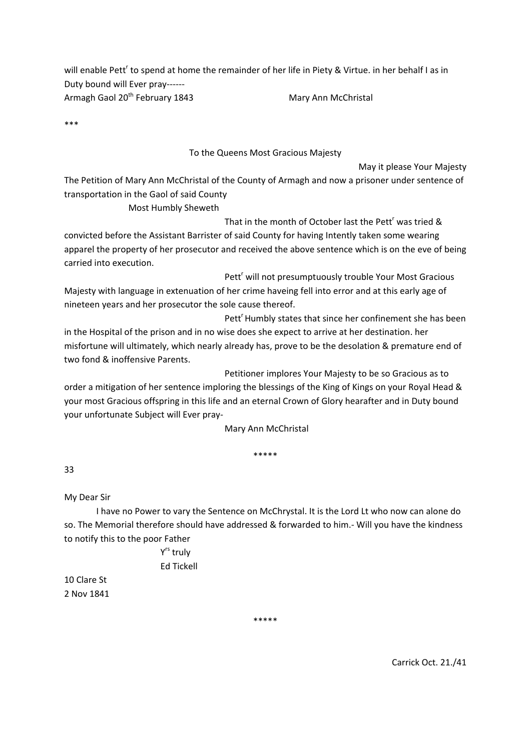will enable Pett<sup>r</sup> to spend at home the remainder of her life in Piety & Virtue. in her behalf I as in Duty bound will Ever pray‐‐‐‐‐‐ Armagh Gaol 20<sup>th</sup> February 1843 Mary Ann McChristal

\*\*\*

## To the Queens Most Gracious Majesty

May it please Your Majesty

The Petition of Mary Ann McChristal of the County of Armagh and now a prisoner under sentence of transportation in the Gaol of said County

Most Humbly Sheweth

That in the month of October last the Pett<sup>r</sup> was tried &

convicted before the Assistant Barrister of said County for having Intently taken some wearing apparel the property of her prosecutor and received the above sentence which is on the eve of being carried into execution.

 $\mathsf{Pett}^{\mathsf{r}}$ Pett<sup>r</sup> will not presumptuously trouble Your Most Gracious Majesty with language in extenuation of her crime haveing fell into error and at this early age of nineteen years and her prosecutor the sole cause thereof.

 $\mathsf{Pett}^r$  and  $\mathsf{Pett}^r$ Pett<sup>'</sup> Humbly states that since her confinement she has been in the Hospital of the prison and in no wise does she expect to arrive at her destination. her misfortune will ultimately, which nearly already has, prove to be the desolation & premature end of two fond & inoffensive Parents.

Petitioner implores Your Majesty to be so Gracious as to

order a mitigation of her sentence imploring the blessings of the King of Kings on your Royal Head & your most Gracious offspring in this life and an eternal Crown of Glory hearafter and in Duty bound your unfortunate Subject will Ever pray‐

Mary Ann McChristal

\*\*\*\*\*

33

My Dear Sir

I have no Power to vary the Sentence on McChrystal. It is the Lord Lt who now can alone do so. The Memorial therefore should have addressed & forwarded to him.‐ Will you have the kindness to notify this to the poor Father

> Yrs truly Ed Tickell

10 Clare St 2 Nov 1841

\*\*\*\*\*

Carrick Oct. 21./41